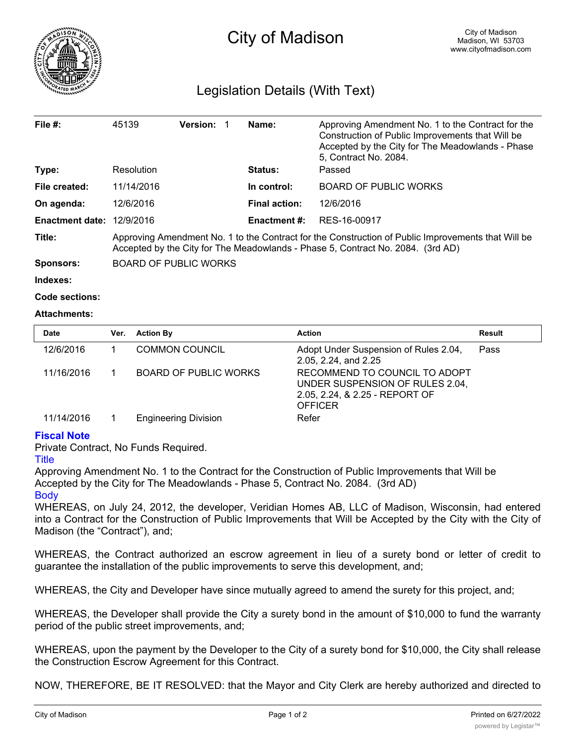

## Legislation Details (With Text)

| File #:                | 45139                                                                                                                                                                                 | Version: |  | Name:                | Approving Amendment No. 1 to the Contract for the<br>Construction of Public Improvements that Will be<br>Accepted by the City for The Meadowlands - Phase<br>5, Contract No. 2084. |  |
|------------------------|---------------------------------------------------------------------------------------------------------------------------------------------------------------------------------------|----------|--|----------------------|------------------------------------------------------------------------------------------------------------------------------------------------------------------------------------|--|
| Type:                  | Resolution                                                                                                                                                                            |          |  | <b>Status:</b>       | Passed                                                                                                                                                                             |  |
| File created:          | 11/14/2016                                                                                                                                                                            |          |  | In control:          | <b>BOARD OF PUBLIC WORKS</b>                                                                                                                                                       |  |
| On agenda:             | 12/6/2016                                                                                                                                                                             |          |  | <b>Final action:</b> | 12/6/2016                                                                                                                                                                          |  |
| <b>Enactment date:</b> | 12/9/2016                                                                                                                                                                             |          |  | <b>Enactment #:</b>  | RES-16-00917                                                                                                                                                                       |  |
| Title:                 | Approving Amendment No. 1 to the Contract for the Construction of Public Improvements that Will be<br>Accepted by the City for The Meadowlands - Phase 5, Contract No. 2084. (3rd AD) |          |  |                      |                                                                                                                                                                                    |  |
| Sponsors:              | <b>BOARD OF PUBLIC WORKS</b>                                                                                                                                                          |          |  |                      |                                                                                                                                                                                    |  |
| Indexes:               |                                                                                                                                                                                       |          |  |                      |                                                                                                                                                                                    |  |

```
Code sections:
```
## **Attachments:**

| <b>Date</b> | Ver. | <b>Action By</b>             | <b>Action</b>                                                                                                        | Result |
|-------------|------|------------------------------|----------------------------------------------------------------------------------------------------------------------|--------|
| 12/6/2016   |      | <b>COMMON COUNCIL</b>        | Adopt Under Suspension of Rules 2.04,<br>2.05, 2.24, and 2.25                                                        | Pass   |
| 11/16/2016  |      | <b>BOARD OF PUBLIC WORKS</b> | RECOMMEND TO COUNCIL TO ADOPT<br>UNDER SUSPENSION OF RULES 2.04,<br>2.05, 2.24, & 2.25 - REPORT OF<br><b>OFFICER</b> |        |
| 11/14/2016  |      | <b>Engineering Division</b>  | Refer                                                                                                                |        |

## **Fiscal Note**

Private Contract, No Funds Required.

## **Title**

Approving Amendment No. 1 to the Contract for the Construction of Public Improvements that Will be Accepted by the City for The Meadowlands - Phase 5, Contract No. 2084. (3rd AD) **Body** 

WHEREAS, on July 24, 2012, the developer, Veridian Homes AB, LLC of Madison, Wisconsin, had entered into a Contract for the Construction of Public Improvements that Will be Accepted by the City with the City of Madison (the "Contract"), and;

WHEREAS, the Contract authorized an escrow agreement in lieu of a surety bond or letter of credit to guarantee the installation of the public improvements to serve this development, and;

WHEREAS, the City and Developer have since mutually agreed to amend the surety for this project, and;

WHEREAS, the Developer shall provide the City a surety bond in the amount of \$10,000 to fund the warranty period of the public street improvements, and;

WHEREAS, upon the payment by the Developer to the City of a surety bond for \$10,000, the City shall release the Construction Escrow Agreement for this Contract.

NOW, THEREFORE, BE IT RESOLVED: that the Mayor and City Clerk are hereby authorized and directed to